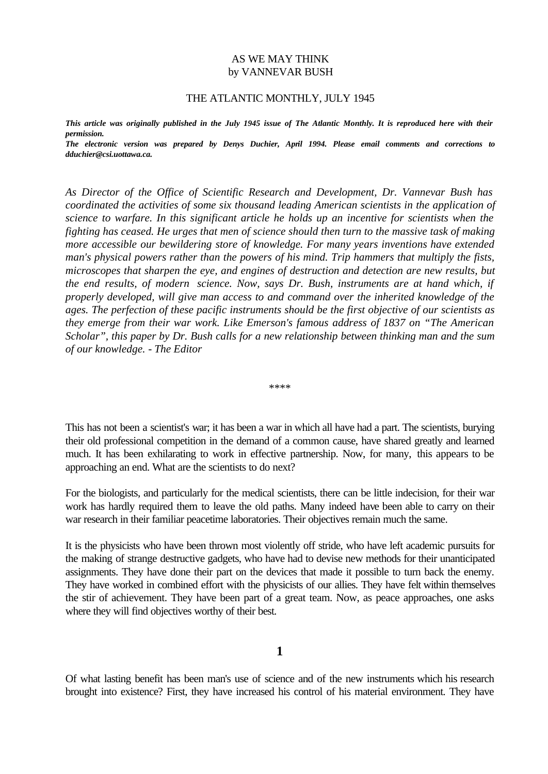#### AS WE MAY THINK by VANNEVAR BUSH

#### THE ATLANTIC MONTHLY, JULY 1945

*This article was originally published in the July 1945 issue of The Atlantic Monthly. It is reproduced here with their permission.*

*The electronic version was prepared by Denys Duchier, April 1994. Please email comments and corrections to dduchier@csi.uottawa.ca.*

*As Director of the Office of Scientific Research and Development, Dr. Vannevar Bush has coordinated the activities of some six thousand leading American scientists in the application of science to warfare. In this significant article he holds up an incentive for scientists when the fighting has ceased. He urges that men of science should then turn to the massive task of making more accessible our bewildering store of knowledge. For many years inventions have extended man's physical powers rather than the powers of his mind. Trip hammers that multiply the fists, microscopes that sharpen the eye, and engines of destruction and detection are new results, but the end results, of modern science. Now, says Dr. Bush, instruments are at hand which, if properly developed, will give man access to and command over the inherited knowledge of the ages. The perfection of these pacific instruments should be the first objective of our scientists as they emerge from their war work. Like Emerson's famous address of 1837 on "The American Scholar", this paper by Dr. Bush calls for a new relationship between thinking man and the sum of our knowledge. - The Editor*

\*\*\*\*

This has not been a scientist's war; it has been a war in which all have had a part. The scientists, burying their old professional competition in the demand of a common cause, have shared greatly and learned much. It has been exhilarating to work in effective partnership. Now, for many, this appears to be approaching an end. What are the scientists to do next?

For the biologists, and particularly for the medical scientists, there can be little indecision, for their war work has hardly required them to leave the old paths. Many indeed have been able to carry on their war research in their familiar peacetime laboratories. Their objectives remain much the same.

It is the physicists who have been thrown most violently off stride, who have left academic pursuits for the making of strange destructive gadgets, who have had to devise new methods for their unanticipated assignments. They have done their part on the devices that made it possible to turn back the enemy. They have worked in combined effort with the physicists of our allies. They have felt within themselves the stir of achievement. They have been part of a great team. Now, as peace approaches, one asks where they will find objectives worthy of their best.

**1**

Of what lasting benefit has been man's use of science and of the new instruments which his research brought into existence? First, they have increased his control of his material environment. They have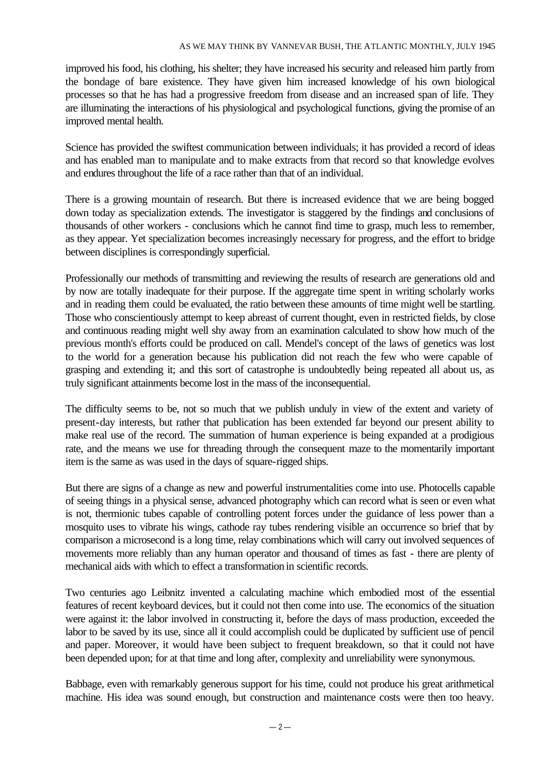improved his food, his clothing, his shelter; they have increased his security and released him partly from the bondage of bare existence. They have given him increased knowledge of his own biological processes so that he has had a progressive freedom from disease and an increased span of life. They are illuminating the interactions of his physiological and psychological functions, giving the promise of an improved mental health.

Science has provided the swiftest communication between individuals; it has provided a record of ideas and has enabled man to manipulate and to make extracts from that record so that knowledge evolves and endures throughout the life of a race rather than that of an individual.

There is a growing mountain of research. But there is increased evidence that we are being bogged down today as specialization extends. The investigator is staggered by the findings and conclusions of thousands of other workers - conclusions which he cannot find time to grasp, much less to remember, as they appear. Yet specialization becomes increasingly necessary for progress, and the effort to bridge between disciplines is correspondingly superficial.

Professionally our methods of transmitting and reviewing the results of research are generations old and by now are totally inadequate for their purpose. If the aggregate time spent in writing scholarly works and in reading them could be evaluated, the ratio between these amounts of time might well be startling. Those who conscientiously attempt to keep abreast of current thought, even in restricted fields, by close and continuous reading might well shy away from an examination calculated to show how much of the previous month's efforts could be produced on call. Mendel's concept of the laws of genetics was lost to the world for a generation because his publication did not reach the few who were capable of grasping and extending it; and this sort of catastrophe is undoubtedly being repeated all about us, as truly significant attainments become lost in the mass of the inconsequential.

The difficulty seems to be, not so much that we publish unduly in view of the extent and variety of present-day interests, but rather that publication has been extended far beyond our present ability to make real use of the record. The summation of human experience is being expanded at a prodigious rate, and the means we use for threading through the consequent maze to the momentarily important item is the same as was used in the days of square-rigged ships.

But there are signs of a change as new and powerful instrumentalities come into use. Photocells capable of seeing things in a physical sense, advanced photography which can record what is seen or even what is not, thermionic tubes capable of controlling potent forces under the guidance of less power than a mosquito uses to vibrate his wings, cathode ray tubes rendering visible an occurrence so brief that by comparison a microsecond is a long time, relay combinations which will carry out involved sequences of movements more reliably than any human operator and thousand of times as fast - there are plenty of mechanical aids with which to effect a transformation in scientific records.

Two centuries ago Leibnitz invented a calculating machine which embodied most of the essential features of recent keyboard devices, but it could not then come into use. The economics of the situation were against it: the labor involved in constructing it, before the days of mass production, exceeded the labor to be saved by its use, since all it could accomplish could be duplicated by sufficient use of pencil and paper. Moreover, it would have been subject to frequent breakdown, so that it could not have been depended upon; for at that time and long after, complexity and unreliability were synonymous.

Babbage, even with remarkably generous support for his time, could not produce his great arithmetical machine. His idea was sound enough, but construction and maintenance costs were then too heavy.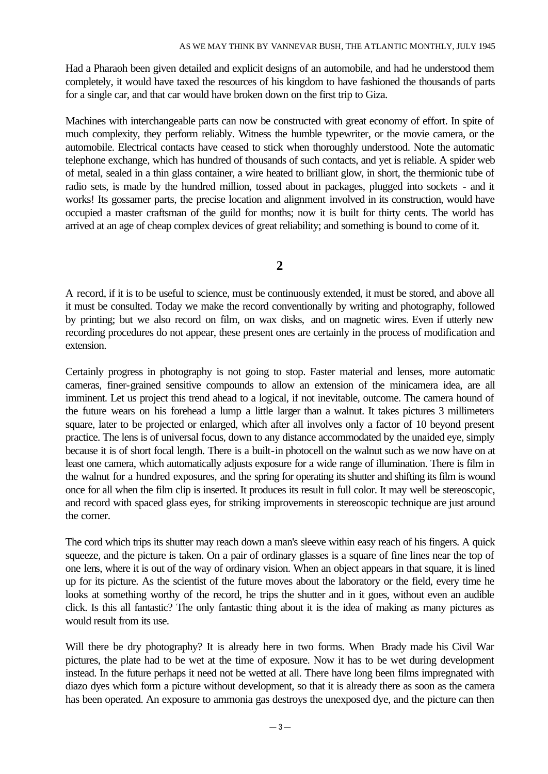Had a Pharaoh been given detailed and explicit designs of an automobile, and had he understood them completely, it would have taxed the resources of his kingdom to have fashioned the thousands of parts for a single car, and that car would have broken down on the first trip to Giza.

Machines with interchangeable parts can now be constructed with great economy of effort. In spite of much complexity, they perform reliably. Witness the humble typewriter, or the movie camera, or the automobile. Electrical contacts have ceased to stick when thoroughly understood. Note the automatic telephone exchange, which has hundred of thousands of such contacts, and yet is reliable. A spider web of metal, sealed in a thin glass container, a wire heated to brilliant glow, in short, the thermionic tube of radio sets, is made by the hundred million, tossed about in packages, plugged into sockets - and it works! Its gossamer parts, the precise location and alignment involved in its construction, would have occupied a master craftsman of the guild for months; now it is built for thirty cents. The world has arrived at an age of cheap complex devices of great reliability; and something is bound to come of it.

**2**

A record, if it is to be useful to science, must be continuously extended, it must be stored, and above all it must be consulted. Today we make the record conventionally by writing and photography, followed by printing; but we also record on film, on wax disks, and on magnetic wires. Even if utterly new recording procedures do not appear, these present ones are certainly in the process of modification and extension.

Certainly progress in photography is not going to stop. Faster material and lenses, more automatic cameras, finer-grained sensitive compounds to allow an extension of the minicamera idea, are all imminent. Let us project this trend ahead to a logical, if not inevitable, outcome. The camera hound of the future wears on his forehead a lump a little larger than a walnut. It takes pictures 3 millimeters square, later to be projected or enlarged, which after all involves only a factor of 10 beyond present practice. The lens is of universal focus, down to any distance accommodated by the unaided eye, simply because it is of short focal length. There is a built-in photocell on the walnut such as we now have on at least one camera, which automatically adjusts exposure for a wide range of illumination. There is film in the walnut for a hundred exposures, and the spring for operating its shutter and shifting its film is wound once for all when the film clip is inserted. It produces its result in full color. It may well be stereoscopic, and record with spaced glass eyes, for striking improvements in stereoscopic technique are just around the corner.

The cord which trips its shutter may reach down a man's sleeve within easy reach of his fingers. A quick squeeze, and the picture is taken. On a pair of ordinary glasses is a square of fine lines near the top of one lens, where it is out of the way of ordinary vision. When an object appears in that square, it is lined up for its picture. As the scientist of the future moves about the laboratory or the field, every time he looks at something worthy of the record, he trips the shutter and in it goes, without even an audible click. Is this all fantastic? The only fantastic thing about it is the idea of making as many pictures as would result from its use.

Will there be dry photography? It is already here in two forms. When Brady made his Civil War pictures, the plate had to be wet at the time of exposure. Now it has to be wet during development instead. In the future perhaps it need not be wetted at all. There have long been films impregnated with diazo dyes which form a picture without development, so that it is already there as soon as the camera has been operated. An exposure to ammonia gas destroys the unexposed dye, and the picture can then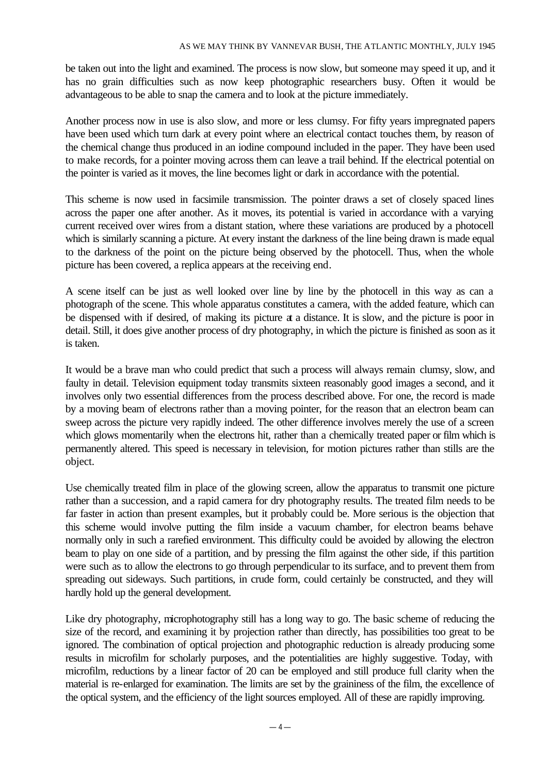be taken out into the light and examined. The process is now slow, but someone may speed it up, and it has no grain difficulties such as now keep photographic researchers busy. Often it would be advantageous to be able to snap the camera and to look at the picture immediately.

Another process now in use is also slow, and more or less clumsy. For fifty years impregnated papers have been used which turn dark at every point where an electrical contact touches them, by reason of the chemical change thus produced in an iodine compound included in the paper. They have been used to make records, for a pointer moving across them can leave a trail behind. If the electrical potential on the pointer is varied as it moves, the line becomes light or dark in accordance with the potential.

This scheme is now used in facsimile transmission. The pointer draws a set of closely spaced lines across the paper one after another. As it moves, its potential is varied in accordance with a varying current received over wires from a distant station, where these variations are produced by a photocell which is similarly scanning a picture. At every instant the darkness of the line being drawn is made equal to the darkness of the point on the picture being observed by the photocell. Thus, when the whole picture has been covered, a replica appears at the receiving end.

A scene itself can be just as well looked over line by line by the photocell in this way as can a photograph of the scene. This whole apparatus constitutes a camera, with the added feature, which can be dispensed with if desired, of making its picture at a distance. It is slow, and the picture is poor in detail. Still, it does give another process of dry photography, in which the picture is finished as soon as it is taken.

It would be a brave man who could predict that such a process will always remain clumsy, slow, and faulty in detail. Television equipment today transmits sixteen reasonably good images a second, and it involves only two essential differences from the process described above. For one, the record is made by a moving beam of electrons rather than a moving pointer, for the reason that an electron beam can sweep across the picture very rapidly indeed. The other difference involves merely the use of a screen which glows momentarily when the electrons hit, rather than a chemically treated paper or film which is permanently altered. This speed is necessary in television, for motion pictures rather than stills are the object.

Use chemically treated film in place of the glowing screen, allow the apparatus to transmit one picture rather than a succession, and a rapid camera for dry photography results. The treated film needs to be far faster in action than present examples, but it probably could be. More serious is the objection that this scheme would involve putting the film inside a vacuum chamber, for electron beams behave normally only in such a rarefied environment. This difficulty could be avoided by allowing the electron beam to play on one side of a partition, and by pressing the film against the other side, if this partition were such as to allow the electrons to go through perpendicular to its surface, and to prevent them from spreading out sideways. Such partitions, in crude form, could certainly be constructed, and they will hardly hold up the general development.

Like dry photography, microphotography still has a long way to go. The basic scheme of reducing the size of the record, and examining it by projection rather than directly, has possibilities too great to be ignored. The combination of optical projection and photographic reduction is already producing some results in microfilm for scholarly purposes, and the potentialities are highly suggestive. Today, with microfilm, reductions by a linear factor of 20 can be employed and still produce full clarity when the material is re-enlarged for examination. The limits are set by the graininess of the film, the excellence of the optical system, and the efficiency of the light sources employed. All of these are rapidly improving.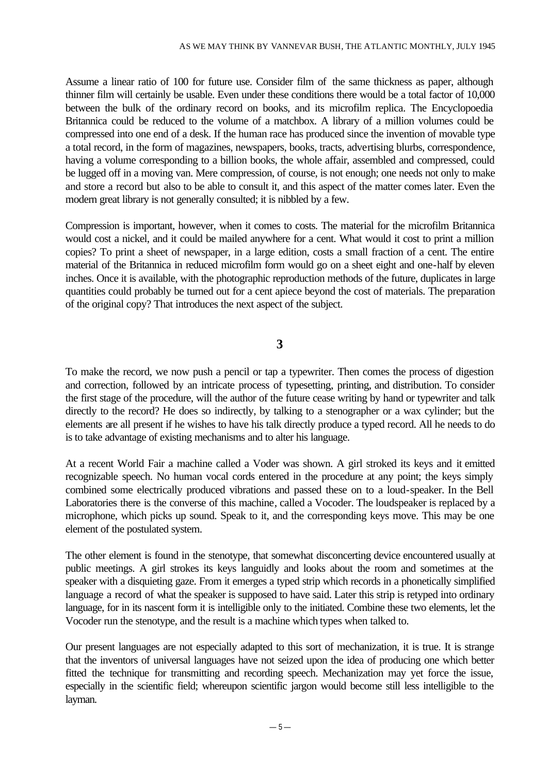Assume a linear ratio of 100 for future use. Consider film of the same thickness as paper, although thinner film will certainly be usable. Even under these conditions there would be a total factor of 10,000 between the bulk of the ordinary record on books, and its microfilm replica. The Encyclopoedia Britannica could be reduced to the volume of a matchbox. A library of a million volumes could be compressed into one end of a desk. If the human race has produced since the invention of movable type a total record, in the form of magazines, newspapers, books, tracts, advertising blurbs, correspondence, having a volume corresponding to a billion books, the whole affair, assembled and compressed, could be lugged off in a moving van. Mere compression, of course, is not enough; one needs not only to make and store a record but also to be able to consult it, and this aspect of the matter comes later. Even the modern great library is not generally consulted; it is nibbled by a few.

Compression is important, however, when it comes to costs. The material for the microfilm Britannica would cost a nickel, and it could be mailed anywhere for a cent. What would it cost to print a million copies? To print a sheet of newspaper, in a large edition, costs a small fraction of a cent. The entire material of the Britannica in reduced microfilm form would go on a sheet eight and one-half by eleven inches. Once it is available, with the photographic reproduction methods of the future, duplicates in large quantities could probably be turned out for a cent apiece beyond the cost of materials. The preparation of the original copy? That introduces the next aspect of the subject.

# **3**

To make the record, we now push a pencil or tap a typewriter. Then comes the process of digestion and correction, followed by an intricate process of typesetting, printing, and distribution. To consider the first stage of the procedure, will the author of the future cease writing by hand or typewriter and talk directly to the record? He does so indirectly, by talking to a stenographer or a wax cylinder; but the elements are all present if he wishes to have his talk directly produce a typed record. All he needs to do is to take advantage of existing mechanisms and to alter his language.

At a recent World Fair a machine called a Voder was shown. A girl stroked its keys and it emitted recognizable speech. No human vocal cords entered in the procedure at any point; the keys simply combined some electrically produced vibrations and passed these on to a loud-speaker. In the Bell Laboratories there is the converse of this machine, called a Vocoder. The loudspeaker is replaced by a microphone, which picks up sound. Speak to it, and the corresponding keys move. This may be one element of the postulated system.

The other element is found in the stenotype, that somewhat disconcerting device encountered usually at public meetings. A girl strokes its keys languidly and looks about the room and sometimes at the speaker with a disquieting gaze. From it emerges a typed strip which records in a phonetically simplified language a record of what the speaker is supposed to have said. Later this strip is retyped into ordinary language, for in its nascent form it is intelligible only to the initiated. Combine these two elements, let the Vocoder run the stenotype, and the result is a machine which types when talked to.

Our present languages are not especially adapted to this sort of mechanization, it is true. It is strange that the inventors of universal languages have not seized upon the idea of producing one which better fitted the technique for transmitting and recording speech. Mechanization may yet force the issue, especially in the scientific field; whereupon scientific jargon would become still less intelligible to the layman.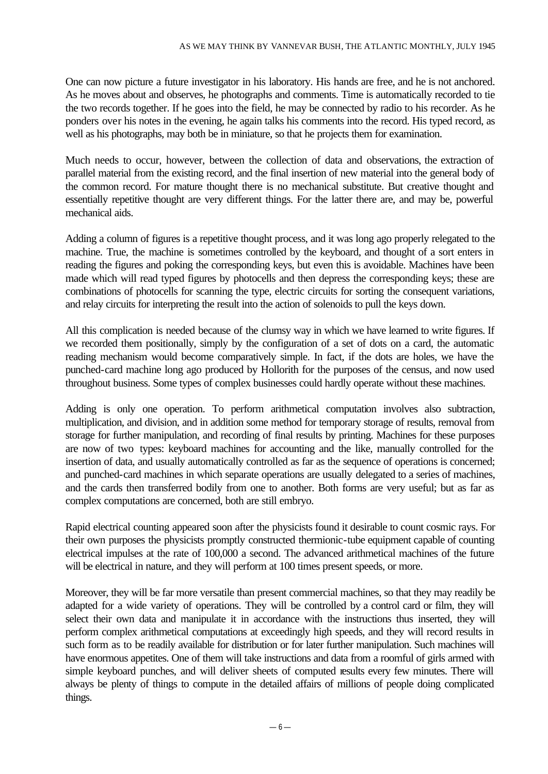One can now picture a future investigator in his laboratory. His hands are free, and he is not anchored. As he moves about and observes, he photographs and comments. Time is automatically recorded to tie the two records together. If he goes into the field, he may be connected by radio to his recorder. As he ponders over his notes in the evening, he again talks his comments into the record. His typed record, as well as his photographs, may both be in miniature, so that he projects them for examination.

Much needs to occur, however, between the collection of data and observations, the extraction of parallel material from the existing record, and the final insertion of new material into the general body of the common record. For mature thought there is no mechanical substitute. But creative thought and essentially repetitive thought are very different things. For the latter there are, and may be, powerful mechanical aids.

Adding a column of figures is a repetitive thought process, and it was long ago properly relegated to the machine. True, the machine is sometimes controlled by the keyboard, and thought of a sort enters in reading the figures and poking the corresponding keys, but even this is avoidable. Machines have been made which will read typed figures by photocells and then depress the corresponding keys; these are combinations of photocells for scanning the type, electric circuits for sorting the consequent variations, and relay circuits for interpreting the result into the action of solenoids to pull the keys down.

All this complication is needed because of the clumsy way in which we have learned to write figures. If we recorded them positionally, simply by the configuration of a set of dots on a card, the automatic reading mechanism would become comparatively simple. In fact, if the dots are holes, we have the punched-card machine long ago produced by Hollorith for the purposes of the census, and now used throughout business. Some types of complex businesses could hardly operate without these machines.

Adding is only one operation. To perform arithmetical computation involves also subtraction, multiplication, and division, and in addition some method for temporary storage of results, removal from storage for further manipulation, and recording of final results by printing. Machines for these purposes are now of two types: keyboard machines for accounting and the like, manually controlled for the insertion of data, and usually automatically controlled as far as the sequence of operations is concerned; and punched-card machines in which separate operations are usually delegated to a series of machines, and the cards then transferred bodily from one to another. Both forms are very useful; but as far as complex computations are concerned, both are still embryo.

Rapid electrical counting appeared soon after the physicists found it desirable to count cosmic rays. For their own purposes the physicists promptly constructed thermionic-tube equipment capable of counting electrical impulses at the rate of 100,000 a second. The advanced arithmetical machines of the future will be electrical in nature, and they will perform at 100 times present speeds, or more.

Moreover, they will be far more versatile than present commercial machines, so that they may readily be adapted for a wide variety of operations. They will be controlled by a control card or film, they will select their own data and manipulate it in accordance with the instructions thus inserted, they will perform complex arithmetical computations at exceedingly high speeds, and they will record results in such form as to be readily available for distribution or for later further manipulation. Such machines will have enormous appetites. One of them will take instructions and data from a roomful of girls armed with simple keyboard punches, and will deliver sheets of computed results every few minutes. There will always be plenty of things to compute in the detailed affairs of millions of people doing complicated things.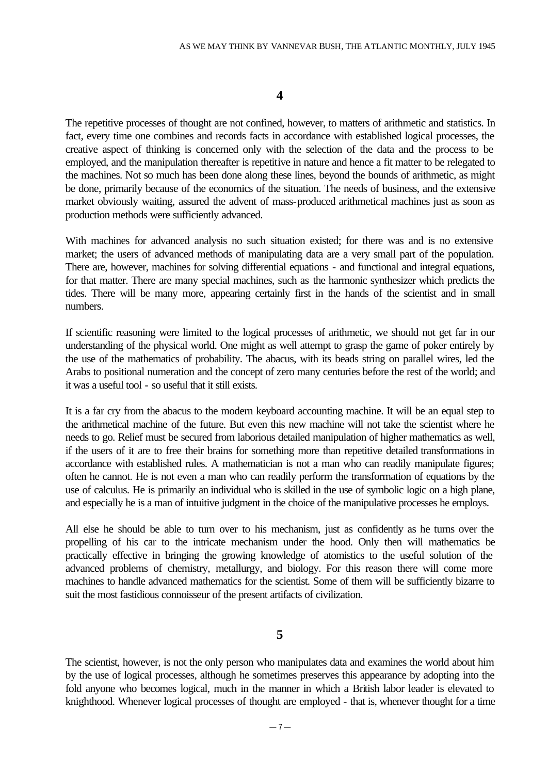#### **4**

The repetitive processes of thought are not confined, however, to matters of arithmetic and statistics. In fact, every time one combines and records facts in accordance with established logical processes, the creative aspect of thinking is concerned only with the selection of the data and the process to be employed, and the manipulation thereafter is repetitive in nature and hence a fit matter to be relegated to the machines. Not so much has been done along these lines, beyond the bounds of arithmetic, as might be done, primarily because of the economics of the situation. The needs of business, and the extensive market obviously waiting, assured the advent of mass-produced arithmetical machines just as soon as production methods were sufficiently advanced.

With machines for advanced analysis no such situation existed; for there was and is no extensive market; the users of advanced methods of manipulating data are a very small part of the population. There are, however, machines for solving differential equations - and functional and integral equations, for that matter. There are many special machines, such as the harmonic synthesizer which predicts the tides. There will be many more, appearing certainly first in the hands of the scientist and in small numbers.

If scientific reasoning were limited to the logical processes of arithmetic, we should not get far in our understanding of the physical world. One might as well attempt to grasp the game of poker entirely by the use of the mathematics of probability. The abacus, with its beads string on parallel wires, led the Arabs to positional numeration and the concept of zero many centuries before the rest of the world; and it was a useful tool - so useful that it still exists.

It is a far cry from the abacus to the modern keyboard accounting machine. It will be an equal step to the arithmetical machine of the future. But even this new machine will not take the scientist where he needs to go. Relief must be secured from laborious detailed manipulation of higher mathematics as well, if the users of it are to free their brains for something more than repetitive detailed transformations in accordance with established rules. A mathematician is not a man who can readily manipulate figures; often he cannot. He is not even a man who can readily perform the transformation of equations by the use of calculus. He is primarily an individual who is skilled in the use of symbolic logic on a high plane, and especially he is a man of intuitive judgment in the choice of the manipulative processes he employs.

All else he should be able to turn over to his mechanism, just as confidently as he turns over the propelling of his car to the intricate mechanism under the hood. Only then will mathematics be practically effective in bringing the growing knowledge of atomistics to the useful solution of the advanced problems of chemistry, metallurgy, and biology. For this reason there will come more machines to handle advanced mathematics for the scientist. Some of them will be sufficiently bizarre to suit the most fastidious connoisseur of the present artifacts of civilization.

## **5**

The scientist, however, is not the only person who manipulates data and examines the world about him by the use of logical processes, although he sometimes preserves this appearance by adopting into the fold anyone who becomes logical, much in the manner in which a British labor leader is elevated to knighthood. Whenever logical processes of thought are employed - that is, whenever thought for a time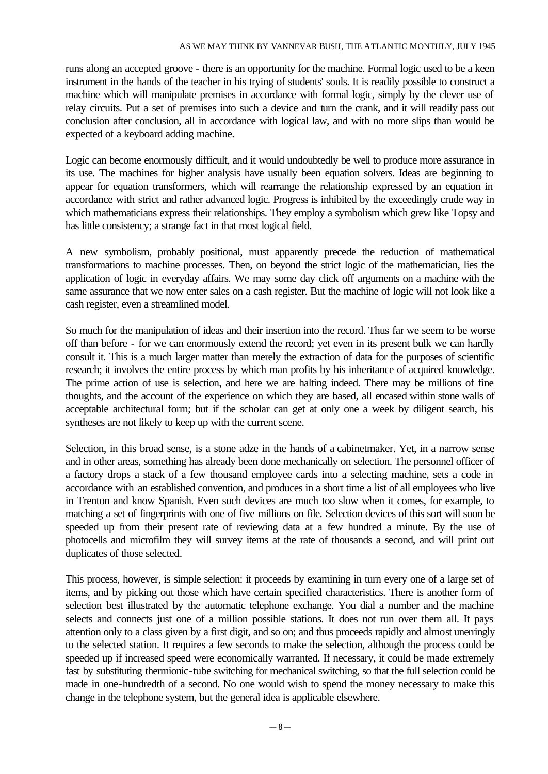runs along an accepted groove - there is an opportunity for the machine. Formal logic used to be a keen instrument in the hands of the teacher in his trying of students' souls. It is readily possible to construct a machine which will manipulate premises in accordance with formal logic, simply by the clever use of relay circuits. Put a set of premises into such a device and turn the crank, and it will readily pass out conclusion after conclusion, all in accordance with logical law, and with no more slips than would be expected of a keyboard adding machine.

Logic can become enormously difficult, and it would undoubtedly be well to produce more assurance in its use. The machines for higher analysis have usually been equation solvers. Ideas are beginning to appear for equation transformers, which will rearrange the relationship expressed by an equation in accordance with strict and rather advanced logic. Progress is inhibited by the exceedingly crude way in which mathematicians express their relationships. They employ a symbolism which grew like Topsy and has little consistency; a strange fact in that most logical field.

A new symbolism, probably positional, must apparently precede the reduction of mathematical transformations to machine processes. Then, on beyond the strict logic of the mathematician, lies the application of logic in everyday affairs. We may some day click off arguments on a machine with the same assurance that we now enter sales on a cash register. But the machine of logic will not look like a cash register, even a streamlined model.

So much for the manipulation of ideas and their insertion into the record. Thus far we seem to be worse off than before - for we can enormously extend the record; yet even in its present bulk we can hardly consult it. This is a much larger matter than merely the extraction of data for the purposes of scientific research; it involves the entire process by which man profits by his inheritance of acquired knowledge. The prime action of use is selection, and here we are halting indeed. There may be millions of fine thoughts, and the account of the experience on which they are based, all encased within stone walls of acceptable architectural form; but if the scholar can get at only one a week by diligent search, his syntheses are not likely to keep up with the current scene.

Selection, in this broad sense, is a stone adze in the hands of a cabinetmaker. Yet, in a narrow sense and in other areas, something has already been done mechanically on selection. The personnel officer of a factory drops a stack of a few thousand employee cards into a selecting machine, sets a code in accordance with an established convention, and produces in a short time a list of all employees who live in Trenton and know Spanish. Even such devices are much too slow when it comes, for example, to matching a set of fingerprints with one of five millions on file. Selection devices of this sort will soon be speeded up from their present rate of reviewing data at a few hundred a minute. By the use of photocells and microfilm they will survey items at the rate of thousands a second, and will print out duplicates of those selected.

This process, however, is simple selection: it proceeds by examining in turn every one of a large set of items, and by picking out those which have certain specified characteristics. There is another form of selection best illustrated by the automatic telephone exchange. You dial a number and the machine selects and connects just one of a million possible stations. It does not run over them all. It pays attention only to a class given by a first digit, and so on; and thus proceeds rapidly and almost unerringly to the selected station. It requires a few seconds to make the selection, although the process could be speeded up if increased speed were economically warranted. If necessary, it could be made extremely fast by substituting thermionic-tube switching for mechanical switching, so that the full selection could be made in one-hundredth of a second. No one would wish to spend the money necessary to make this change in the telephone system, but the general idea is applicable elsewhere.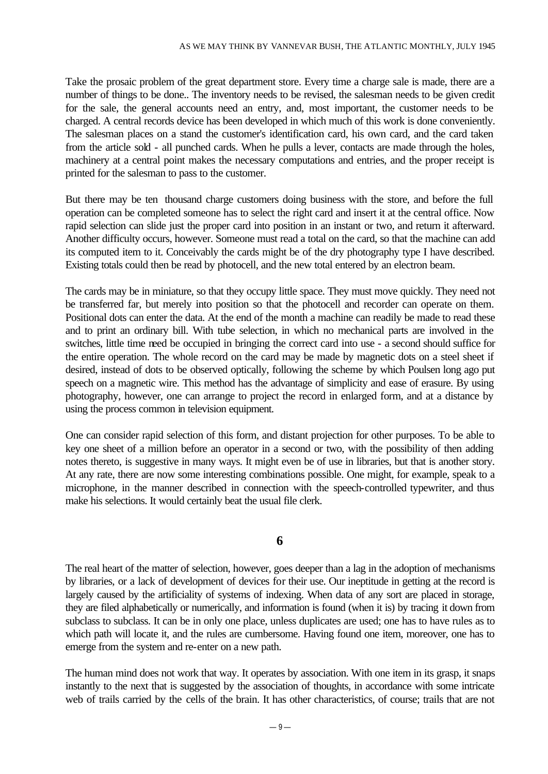Take the prosaic problem of the great department store. Every time a charge sale is made, there are a number of things to be done.. The inventory needs to be revised, the salesman needs to be given credit for the sale, the general accounts need an entry, and, most important, the customer needs to be charged. A central records device has been developed in which much of this work is done conveniently. The salesman places on a stand the customer's identification card, his own card, and the card taken from the article sold - all punched cards. When he pulls a lever, contacts are made through the holes, machinery at a central point makes the necessary computations and entries, and the proper receipt is printed for the salesman to pass to the customer.

But there may be ten thousand charge customers doing business with the store, and before the full operation can be completed someone has to select the right card and insert it at the central office. Now rapid selection can slide just the proper card into position in an instant or two, and return it afterward. Another difficulty occurs, however. Someone must read a total on the card, so that the machine can add its computed item to it. Conceivably the cards might be of the dry photography type I have described. Existing totals could then be read by photocell, and the new total entered by an electron beam.

The cards may be in miniature, so that they occupy little space. They must move quickly. They need not be transferred far, but merely into position so that the photocell and recorder can operate on them. Positional dots can enter the data. At the end of the month a machine can readily be made to read these and to print an ordinary bill. With tube selection, in which no mechanical parts are involved in the switches, little time need be occupied in bringing the correct card into use - a second should suffice for the entire operation. The whole record on the card may be made by magnetic dots on a steel sheet if desired, instead of dots to be observed optically, following the scheme by which Poulsen long ago put speech on a magnetic wire. This method has the advantage of simplicity and ease of erasure. By using photography, however, one can arrange to project the record in enlarged form, and at a distance by using the process common in television equipment.

One can consider rapid selection of this form, and distant projection for other purposes. To be able to key one sheet of a million before an operator in a second or two, with the possibility of then adding notes thereto, is suggestive in many ways. It might even be of use in libraries, but that is another story. At any rate, there are now some interesting combinations possible. One might, for example, speak to a microphone, in the manner described in connection with the speech-controlled typewriter, and thus make his selections. It would certainly beat the usual file clerk.

# **6**

The real heart of the matter of selection, however, goes deeper than a lag in the adoption of mechanisms by libraries, or a lack of development of devices for their use. Our ineptitude in getting at the record is largely caused by the artificiality of systems of indexing. When data of any sort are placed in storage, they are filed alphabetically or numerically, and information is found (when it is) by tracing it down from subclass to subclass. It can be in only one place, unless duplicates are used; one has to have rules as to which path will locate it, and the rules are cumbersome. Having found one item, moreover, one has to emerge from the system and re-enter on a new path.

The human mind does not work that way. It operates by association. With one item in its grasp, it snaps instantly to the next that is suggested by the association of thoughts, in accordance with some intricate web of trails carried by the cells of the brain. It has other characteristics, of course; trails that are not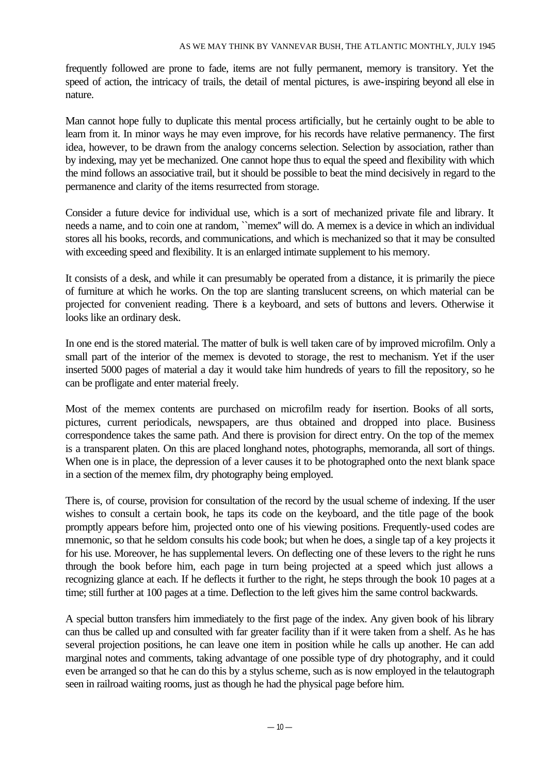frequently followed are prone to fade, items are not fully permanent, memory is transitory. Yet the speed of action, the intricacy of trails, the detail of mental pictures, is awe-inspiring beyond all else in nature.

Man cannot hope fully to duplicate this mental process artificially, but he certainly ought to be able to learn from it. In minor ways he may even improve, for his records have relative permanency. The first idea, however, to be drawn from the analogy concerns selection. Selection by association, rather than by indexing, may yet be mechanized. One cannot hope thus to equal the speed and flexibility with which the mind follows an associative trail, but it should be possible to beat the mind decisively in regard to the permanence and clarity of the items resurrected from storage.

Consider a future device for individual use, which is a sort of mechanized private file and library. It needs a name, and to coin one at random, ``memex'' will do. A memex is a device in which an individual stores all his books, records, and communications, and which is mechanized so that it may be consulted with exceeding speed and flexibility. It is an enlarged intimate supplement to his memory.

It consists of a desk, and while it can presumably be operated from a distance, it is primarily the piece of furniture at which he works. On the top are slanting translucent screens, on which material can be projected for convenient reading. There is a keyboard, and sets of buttons and levers. Otherwise it looks like an ordinary desk.

In one end is the stored material. The matter of bulk is well taken care of by improved microfilm. Only a small part of the interior of the memex is devoted to storage, the rest to mechanism. Yet if the user inserted 5000 pages of material a day it would take him hundreds of years to fill the repository, so he can be profligate and enter material freely.

Most of the memex contents are purchased on microfilm ready for insertion. Books of all sorts, pictures, current periodicals, newspapers, are thus obtained and dropped into place. Business correspondence takes the same path. And there is provision for direct entry. On the top of the memex is a transparent platen. On this are placed longhand notes, photographs, memoranda, all sort of things. When one is in place, the depression of a lever causes it to be photographed onto the next blank space in a section of the memex film, dry photography being employed.

There is, of course, provision for consultation of the record by the usual scheme of indexing. If the user wishes to consult a certain book, he taps its code on the keyboard, and the title page of the book promptly appears before him, projected onto one of his viewing positions. Frequently-used codes are mnemonic, so that he seldom consults his code book; but when he does, a single tap of a key projects it for his use. Moreover, he has supplemental levers. On deflecting one of these levers to the right he runs through the book before him, each page in turn being projected at a speed which just allows a recognizing glance at each. If he deflects it further to the right, he steps through the book 10 pages at a time; still further at 100 pages at a time. Deflection to the left gives him the same control backwards.

A special button transfers him immediately to the first page of the index. Any given book of his library can thus be called up and consulted with far greater facility than if it were taken from a shelf. As he has several projection positions, he can leave one item in position while he calls up another. He can add marginal notes and comments, taking advantage of one possible type of dry photography, and it could even be arranged so that he can do this by a stylus scheme, such as is now employed in the telautograph seen in railroad waiting rooms, just as though he had the physical page before him.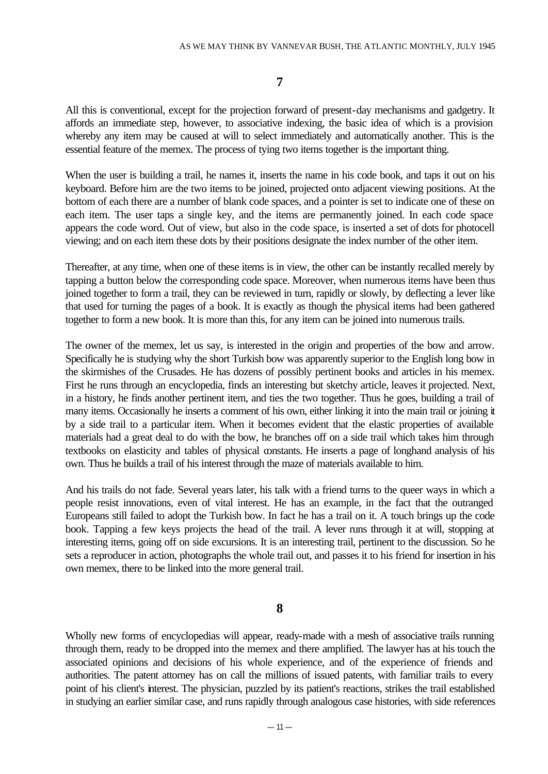## **7**

All this is conventional, except for the projection forward of present-day mechanisms and gadgetry. It affords an immediate step, however, to associative indexing, the basic idea of which is a provision whereby any item may be caused at will to select immediately and automatically another. This is the essential feature of the memex. The process of tying two items together is the important thing.

When the user is building a trail, he names it, inserts the name in his code book, and taps it out on his keyboard. Before him are the two items to be joined, projected onto adjacent viewing positions. At the bottom of each there are a number of blank code spaces, and a pointer is set to indicate one of these on each item. The user taps a single key, and the items are permanently joined. In each code space appears the code word. Out of view, but also in the code space, is inserted a set of dots for photocell viewing; and on each item these dots by their positions designate the index number of the other item.

Thereafter, at any time, when one of these items is in view, the other can be instantly recalled merely by tapping a button below the corresponding code space. Moreover, when numerous items have been thus joined together to form a trail, they can be reviewed in turn, rapidly or slowly, by deflecting a lever like that used for turning the pages of a book. It is exactly as though the physical items had been gathered together to form a new book. It is more than this, for any item can be joined into numerous trails.

The owner of the memex, let us say, is interested in the origin and properties of the bow and arrow. Specifically he is studying why the short Turkish bow was apparently superior to the English long bow in the skirmishes of the Crusades. He has dozens of possibly pertinent books and articles in his memex. First he runs through an encyclopedia, finds an interesting but sketchy article, leaves it projected. Next, in a history, he finds another pertinent item, and ties the two together. Thus he goes, building a trail of many items. Occasionally he inserts a comment of his own, either linking it into the main trail or joining it by a side trail to a particular item. When it becomes evident that the elastic properties of available materials had a great deal to do with the bow, he branches off on a side trail which takes him through textbooks on elasticity and tables of physical constants. He inserts a page of longhand analysis of his own. Thus he builds a trail of his interest through the maze of materials available to him.

And his trails do not fade. Several years later, his talk with a friend turns to the queer ways in which a people resist innovations, even of vital interest. He has an example, in the fact that the outranged Europeans still failed to adopt the Turkish bow. In fact he has a trail on it. A touch brings up the code book. Tapping a few keys projects the head of the trail. A lever runs through it at will, stopping at interesting items, going off on side excursions. It is an interesting trail, pertinent to the discussion. So he sets a reproducer in action, photographs the whole trail out, and passes it to his friend for insertion in his own memex, there to be linked into the more general trail.

## **8**

Wholly new forms of encyclopedias will appear, ready-made with a mesh of associative trails running through them, ready to be dropped into the memex and there amplified. The lawyer has at his touch the associated opinions and decisions of his whole experience, and of the experience of friends and authorities. The patent attorney has on call the millions of issued patents, with familiar trails to every point of his client's interest. The physician, puzzled by its patient's reactions, strikes the trail established in studying an earlier similar case, and runs rapidly through analogous case histories, with side references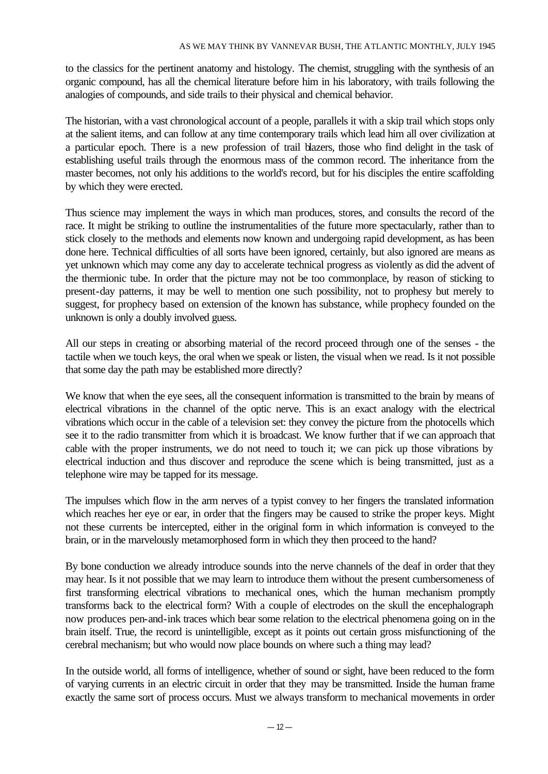to the classics for the pertinent anatomy and histology. The chemist, struggling with the synthesis of an organic compound, has all the chemical literature before him in his laboratory, with trails following the analogies of compounds, and side trails to their physical and chemical behavior.

The historian, with a vast chronological account of a people, parallels it with a skip trail which stops only at the salient items, and can follow at any time contemporary trails which lead him all over civilization at a particular epoch. There is a new profession of trail blazers, those who find delight in the task of establishing useful trails through the enormous mass of the common record. The inheritance from the master becomes, not only his additions to the world's record, but for his disciples the entire scaffolding by which they were erected.

Thus science may implement the ways in which man produces, stores, and consults the record of the race. It might be striking to outline the instrumentalities of the future more spectacularly, rather than to stick closely to the methods and elements now known and undergoing rapid development, as has been done here. Technical difficulties of all sorts have been ignored, certainly, but also ignored are means as yet unknown which may come any day to accelerate technical progress as violently as did the advent of the thermionic tube. In order that the picture may not be too commonplace, by reason of sticking to present-day patterns, it may be well to mention one such possibility, not to prophesy but merely to suggest, for prophecy based on extension of the known has substance, while prophecy founded on the unknown is only a doubly involved guess.

All our steps in creating or absorbing material of the record proceed through one of the senses - the tactile when we touch keys, the oral when we speak or listen, the visual when we read. Is it not possible that some day the path may be established more directly?

We know that when the eye sees, all the consequent information is transmitted to the brain by means of electrical vibrations in the channel of the optic nerve. This is an exact analogy with the electrical vibrations which occur in the cable of a television set: they convey the picture from the photocells which see it to the radio transmitter from which it is broadcast. We know further that if we can approach that cable with the proper instruments, we do not need to touch it; we can pick up those vibrations by electrical induction and thus discover and reproduce the scene which is being transmitted, just as a telephone wire may be tapped for its message.

The impulses which flow in the arm nerves of a typist convey to her fingers the translated information which reaches her eye or ear, in order that the fingers may be caused to strike the proper keys. Might not these currents be intercepted, either in the original form in which information is conveyed to the brain, or in the marvelously metamorphosed form in which they then proceed to the hand?

By bone conduction we already introduce sounds into the nerve channels of the deaf in order that they may hear. Is it not possible that we may learn to introduce them without the present cumbersomeness of first transforming electrical vibrations to mechanical ones, which the human mechanism promptly transforms back to the electrical form? With a couple of electrodes on the skull the encephalograph now produces pen-and-ink traces which bear some relation to the electrical phenomena going on in the brain itself. True, the record is unintelligible, except as it points out certain gross misfunctioning of the cerebral mechanism; but who would now place bounds on where such a thing may lead?

In the outside world, all forms of intelligence, whether of sound or sight, have been reduced to the form of varying currents in an electric circuit in order that they may be transmitted. Inside the human frame exactly the same sort of process occurs. Must we always transform to mechanical movements in order